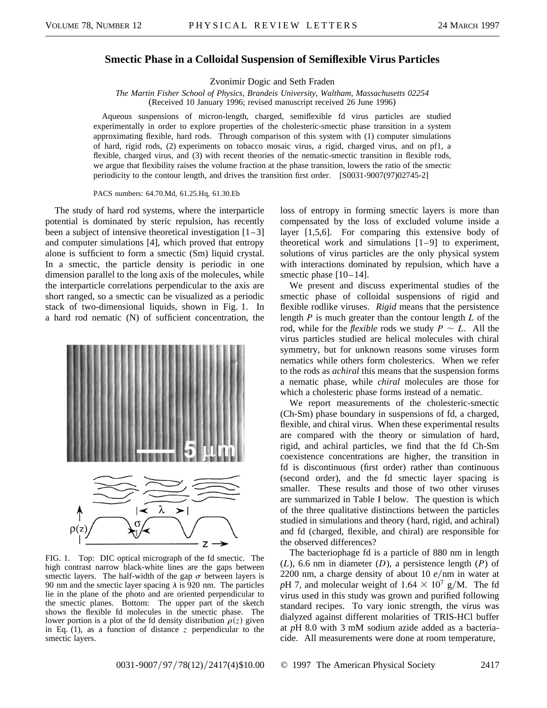## **Smectic Phase in a Colloidal Suspension of Semiflexible Virus Particles**

Zvonimir Dogic and Seth Fraden

*The Martin Fisher School of Physics, Brandeis University, Waltham, Massachusetts 02254* (Received 10 January 1996; revised manuscript received 26 June 1996)

Aqueous suspensions of micron-length, charged, semiflexible fd virus particles are studied experimentally in order to explore properties of the cholesteric-smectic phase transition in a system approximating flexible, hard rods. Through comparison of this system with (1) computer simulations of hard, rigid rods, (2) experiments on tobacco mosaic virus, a rigid, charged virus, and on pf1, a flexible, charged virus, and (3) with recent theories of the nematic-smectic transition in flexible rods, we argue that flexibility raises the volume fraction at the phase transition, lowers the ratio of the smectic periodicity to the contour length, and drives the transition first order. [S0031-9007(97)02745-2]

PACS numbers: 64.70.Md, 61.25.Hq, 61.30.Eb

The study of hard rod systems, where the interparticle potential is dominated by steric repulsion, has recently been a subject of intensive theoretical investigation  $[1-3]$ and computer simulations [4], which proved that entropy alone is sufficient to form a smectic (Sm) liquid crystal. In a smectic, the particle density is periodic in one dimension parallel to the long axis of the molecules, while the interparticle correlations perpendicular to the axis are short ranged, so a smectic can be visualized as a periodic stack of two-dimensional liquids, shown in Fig. 1. In a hard rod nematic (N) of sufficient concentration, the



FIG. 1. Top: DIC optical micrograph of the fd smectic. The high contrast narrow black-white lines are the gaps between smectic layers. The half-width of the gap  $\sigma$  between layers is 90 nm and the smectic layer spacing  $\lambda$  is 920 nm. The particles lie in the plane of the photo and are oriented perpendicular to the smectic planes. Bottom: The upper part of the sketch shows the flexible fd molecules in the smectic phase. The lower portion is a plot of the fd density distribution  $\rho(z)$  given in Eq. (1), as a function of distance *z* perpendicular to the smectic layers.

loss of entropy in forming smectic layers is more than compensated by the loss of excluded volume inside a layer [1,5,6]. For comparing this extensive body of theoretical work and simulations [1–9] to experiment, solutions of virus particles are the only physical system with interactions dominated by repulsion, which have a smectic phase [10–14].

We present and discuss experimental studies of the smectic phase of colloidal suspensions of rigid and flexible rodlike viruses. *Rigid* means that the persistence length *P* is much greater than the contour length *L* of the rod, while for the *flexible* rods we study  $P \sim L$ . All the virus particles studied are helical molecules with chiral symmetry, but for unknown reasons some viruses form nematics while others form cholesterics. When we refer to the rods as *achiral* this means that the suspension forms a nematic phase, while *chiral* molecules are those for which a cholesteric phase forms instead of a nematic.

We report measurements of the cholesteric-smectic (Ch-Sm) phase boundary in suspensions of fd, a charged, flexible, and chiral virus. When these experimental results are compared with the theory or simulation of hard, rigid, and achiral particles, we find that the fd Ch-Sm coexistence concentrations are higher, the transition in fd is discontinuous (first order) rather than continuous (second order), and the fd smectic layer spacing is smaller. These results and those of two other viruses are summarized in Table I below. The question is which of the three qualitative distinctions between the particles studied in simulations and theory (hard, rigid, and achiral) and fd (charged, flexible, and chiral) are responsible for the observed differences?

The bacteriophage fd is a particle of 880 nm in length (*L*), 6.6 nm in diameter (*D*), a persistence length (*P*) of 2200 nm, a charge density of about 10  $e/nm$  in water at *pH* 7, and molecular weight of  $1.64 \times 10^7$  g/M. The fd virus used in this study was grown and purified following standard recipes. To vary ionic strength, the virus was dialyzed against different molarities of TRIS-HCl buffer at *p*H 8.0 with 3 mM sodium azide added as a bacteriacide. All measurements were done at room temperature,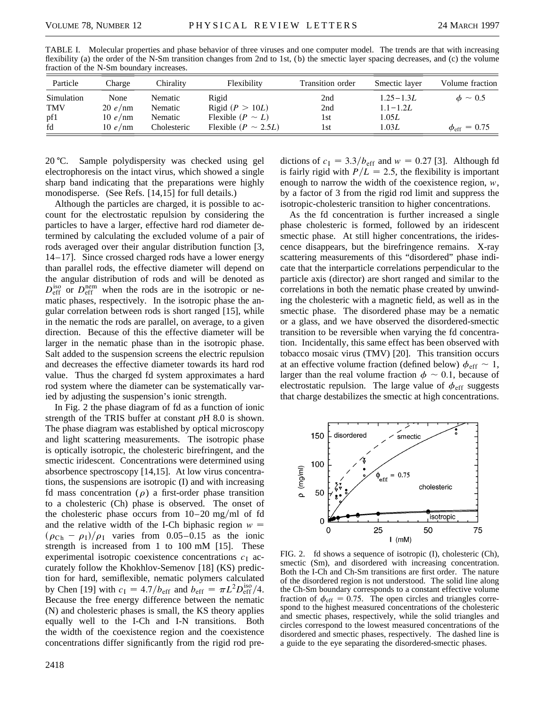| Particle   | Charge  | Chirality   | Flexibility              | Transition order | Smectic layer | Volume fraction         |
|------------|---------|-------------|--------------------------|------------------|---------------|-------------------------|
| Simulation | None    | Nematic     | Rigid                    | 2nd              | $1.25 - 1.3L$ | $\phi \sim 0.5$         |
| <b>TMV</b> | 20 e/mm | Nematic     | Rigid ( $P > 10L$ )      | 2nd              | $1.1 - 1.2L$  |                         |
| pf1        | 10 e/mm | Nematic     | Flexible $(P \sim L)$    | 1st              | 1.05L         |                         |
| fd         | 10 e/nm | Cholesteric | Flexible $(P \sim 2.5L)$ | 1st              | 1.03L         | $\phi_{\rm eff} = 0.75$ |

TABLE I. Molecular properties and phase behavior of three viruses and one computer model. The trends are that with increasing flexibility (a) the order of the N-Sm transition changes from 2nd to 1st, (b) the smectic layer spacing decreases, and (c) the volume fraction of the N-Sm boundary increases.

20 °C. Sample polydispersity was checked using gel electrophoresis on the intact virus, which showed a single sharp band indicating that the preparations were highly monodisperse. (See Refs. [14,15] for full details.)

Although the particles are charged, it is possible to account for the electrostatic repulsion by considering the particles to have a larger, effective hard rod diameter determined by calculating the excluded volume of a pair of rods averaged over their angular distribution function [3, 14 –17]. Since crossed charged rods have a lower energy than parallel rods, the effective diameter will depend on the angular distribution of rods and will be denoted as  $D_{\text{eff}}^{\text{iso}}$  or  $D_{\text{eff}}^{\text{nem}}$  when the rods are in the isotropic or nematic phases, respectively. In the isotropic phase the angular correlation between rods is short ranged [15], while in the nematic the rods are parallel, on average, to a given direction. Because of this the effective diameter will be larger in the nematic phase than in the isotropic phase. Salt added to the suspension screens the electric repulsion and decreases the effective diameter towards its hard rod value. Thus the charged fd system approximates a hard rod system where the diameter can be systematically varied by adjusting the suspension's ionic strength.

In Fig. 2 the phase diagram of fd as a function of ionic strength of the TRIS buffer at constant *p*H 8.0 is shown. The phase diagram was established by optical microscopy and light scattering measurements. The isotropic phase is optically isotropic, the cholesteric birefringent, and the smectic iridescent. Concentrations were determined using absorbence spectroscopy [14,15]. At low virus concentrations, the suspensions are isotropic (I) and with increasing fd mass concentration ( $\rho$ ) a first-order phase transition to a cholesteric (Ch) phase is observed. The onset of the cholesteric phase occurs from  $10-20$  mg/ml of fd and the relative width of the I-Ch biphasic region  $w =$  $(\rho_{Ch} - \rho_I)/\rho_I$  varies from 0.05–0.15 as the ionic strength is increased from 1 to 100 mM [15]. These experimental isotropic coexistence concentrations  $c_1$  accurately follow the Khokhlov-Semenov [18] (KS) prediction for hard, semiflexible, nematic polymers calculated by Chen [19] with  $c_I = 4.7/b_{\text{eff}}$  and  $b_{\text{eff}} = \pi L^2 D_{\text{eff}}^{\text{iso}}/4$ . Because the free energy difference between the nematic (N) and cholesteric phases is small, the KS theory applies equally well to the I-Ch and I-N transitions. Both the width of the coexistence region and the coexistence concentrations differ significantly from the rigid rod pre-

dictions of  $c_1 = 3.3/b_{\text{eff}}$  and  $w = 0.27$  [3]. Although fd is fairly rigid with  $P/L = 2.5$ , the flexibility is important enough to narrow the width of the coexistence region, *w*, by a factor of 3 from the rigid rod limit and suppress the isotropic-cholesteric transition to higher concentrations.

As the fd concentration is further increased a single phase cholesteric is formed, followed by an iridescent smectic phase. At still higher concentrations, the iridescence disappears, but the birefringence remains. X-ray scattering measurements of this "disordered" phase indicate that the interparticle correlations perpendicular to the particle axis (director) are short ranged and similar to the correlations in both the nematic phase created by unwinding the cholesteric with a magnetic field, as well as in the smectic phase. The disordered phase may be a nematic or a glass, and we have observed the disordered-smectic transition to be reversible when varying the fd concentration. Incidentally, this same effect has been observed with tobacco mosaic virus (TMV) [20]. This transition occurs at an effective volume fraction (defined below)  $\phi_{\text{eff}} \sim 1$ , larger than the real volume fraction  $\phi \sim 0.1$ , because of electrostatic repulsion. The large value of  $\phi_{\text{eff}}$  suggests that charge destabilizes the smectic at high concentrations.



FIG. 2. fd shows a sequence of isotropic (I), cholesteric (Ch), smectic (Sm), and disordered with increasing concentration. Both the I-Ch and Ch-Sm transitions are first order. The nature of the disordered region is not understood. The solid line along the Ch-Sm boundary corresponds to a constant effective volume fraction of  $\phi_{\text{eff}} = 0.75$ . The open circles and triangles correspond to the highest measured concentrations of the cholesteric and smectic phases, respectively, while the solid triangles and circles correspond to the lowest measured concentrations of the disordered and smectic phases, respectively. The dashed line is a guide to the eye separating the disordered-smectic phases.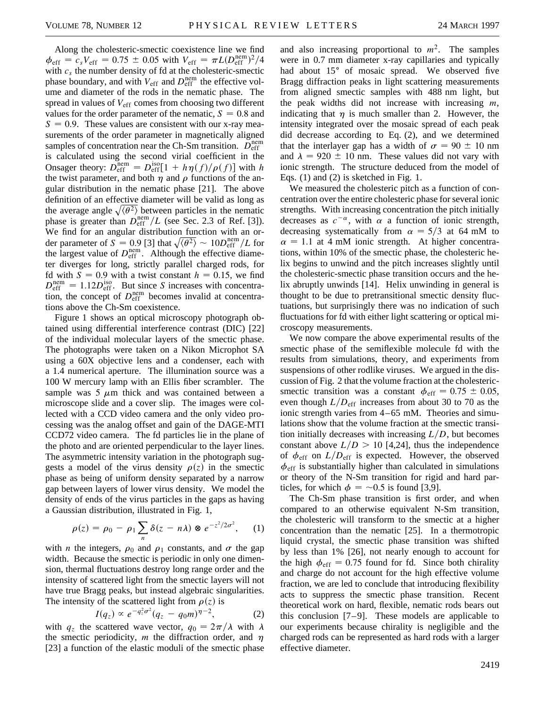Along the cholesteric-smectic coexistence line we find  $\phi_{\text{eff}} = c_s V_{\text{eff}} = 0.75 \pm 0.05 \text{ with } V_{\text{eff}} = \pi L (D_{\text{eff}}^{\text{nem}})^2/4$ with  $c_s$  the number density of fd at the cholesteric-smectic phase boundary, and with  $V_{\text{eff}}$  and  $D_{\text{eff}}^{\text{nem}}$  the effective volume and diameter of the rods in the nematic phase. The spread in values of  $V_{\text{eff}}$  comes from choosing two different values for the order parameter of the nematic,  $S = 0.8$  and  $S = 0.9$ . These values are consistent with our x-ray measurements of the order parameter in magnetically aligned samples of concentration near the Ch-Sm transition.  $\overline{D}_{\text{eff}}^{\text{nem}}$ is calculated using the second virial coefficient in the Onsager theory:  $D_{\text{eff}}^{\text{nem}} = D_{\text{eff}}^{\text{iso}}[1 + h\eta(f)/\rho(f)]$  with *h* the twist parameter, and both  $\eta$  and  $\rho$  functions of the angular distribution in the nematic phase [21]. The above definition of an effective diameter will be valid as long as the average angle  $\sqrt{\langle \theta^2 \rangle}$  between particles in the nematic phase is greater than  $D_{\text{eff}}^{\text{nem}}/L$  (see Sec. 2.3 of Ref. [3]). We find for an angular distribution function with an order parameter of  $S = 0.9$  [3] that  $\sqrt{\langle \theta^2 \rangle} \sim 10 D_{\text{eff}}^{\text{nem}}/L$  for the largest value of  $D_{\text{eff}}^{\text{nem}}$ . Although the effective diameter diverges for long, strictly parallel charged rods, for fd with  $S = 0.9$  with a twist constant  $h = 0.15$ , we find  $D_{\text{eff}}^{\text{nem}} = 1.12 D_{\text{eff}}^{\text{iso}}$ . But since *S* increases with concentration, the concept of  $D_{\text{eff}}^{\text{nem}}$  becomes invalid at concentrations above the Ch-Sm coexistence.

Figure 1 shows an optical microscopy photograph obtained using differential interference contrast (DIC) [22] of the individual molecular layers of the smectic phase. The photographs were taken on a Nikon Microphot SA using a 60X objective lens and a condenser, each with a 1.4 numerical aperture. The illumination source was a 100 W mercury lamp with an Ellis fiber scrambler. The sample was  $5 \mu m$  thick and was contained between a microscope slide and a cover slip. The images were collected with a CCD video camera and the only video processing was the analog offset and gain of the DAGE-MTI CCD72 video camera. The fd particles lie in the plane of the photo and are oriented perpendicular to the layer lines. The asymmetric intensity variation in the photograph suggests a model of the virus density  $\rho(z)$  in the smectic phase as being of uniform density separated by a narrow gap between layers of lower virus density. We model the density of ends of the virus particles in the gaps as having a Gaussian distribution, illustrated in Fig. 1,

$$
\rho(z) = \rho_0 - \rho_1 \sum_n \delta(z - n\lambda) \otimes e^{-z^2/2\sigma^2}, \qquad (1)
$$

with *n* the integers,  $\rho_0$  and  $\rho_1$  constants, and  $\sigma$  the gap width. Because the smectic is periodic in only one dimension, thermal fluctuations destroy long range order and the intensity of scattered light from the smectic layers will not have true Bragg peaks, but instead algebraic singularities. The intensity of the scattered light from  $\rho(z)$  is

$$
I(q_z) \propto e^{-q_z^2 \sigma^2} (q_z - q_0 m)^{\eta - 2}, \qquad (2)
$$

with  $q_z$  the scattered wave vector,  $q_0 = 2\pi/\lambda$  with  $\lambda$ the smectic periodicity,  $m$  the diffraction order, and  $\eta$ [23] a function of the elastic moduli of the smectic phase

and also increasing proportional to  $m^2$ . The samples were in 0.7 mm diameter x-ray capillaries and typically had about 15<sup>°</sup> of mosaic spread. We observed five Bragg diffraction peaks in light scattering measurements from aligned smectic samples with 488 nm light, but the peak widths did not increase with increasing *m*, indicating that  $\eta$  is much smaller than 2. However, the intensity integrated over the mosaic spread of each peak did decrease according to Eq. (2), and we determined that the interlayer gap has a width of  $\sigma = 90 \pm 10$  nm and  $\lambda = 920 \pm 10$  nm. These values did not vary with ionic strength. The structure deduced from the model of Eqs. (1) and (2) is sketched in Fig. 1.

We measured the cholesteric pitch as a function of concentration over the entire cholesteric phase for several ionic strengths. With increasing concentration the pitch initially decreases as  $c^{-\alpha}$ , with  $\alpha$  a function of ionic strength, decreasing systematically from  $\alpha = 5/3$  at 64 mM to  $\alpha$  = 1.1 at 4 mM ionic strength. At higher concentrations, within 10% of the smectic phase, the cholesteric helix begins to unwind and the pitch increases slightly until the cholesteric-smectic phase transition occurs and the helix abruptly unwinds [14]. Helix unwinding in general is thought to be due to pretransitional smectic density fluctuations, but surprisingly there was no indication of such fluctuations for fd with either light scattering or optical microscopy measurements.

We now compare the above experimental results of the smectic phase of the semiflexible molecule fd with the results from simulations, theory, and experiments from suspensions of other rodlike viruses. We argued in the discussion of Fig. 2 that the volume fraction at the cholestericsmectic transition was a constant  $\phi_{\text{eff}} = 0.75 \pm 0.05$ , even though  $L/D_{\text{eff}}$  increases from about 30 to 70 as the ionic strength varies from 4–65 mM. Theories and simulations show that the volume fraction at the smectic transition initially decreases with increasing  $L/D$ , but becomes constant above  $L/D > 10$  [4,24], thus the independence of  $\phi_{\text{eff}}$  on  $L/D_{\text{eff}}$  is expected. However, the observed  $\phi_{\text{eff}}$  is substantially higher than calculated in simulations or theory of the N-Sm transition for rigid and hard particles, for which  $\phi = -0.5$  is found [3,9].

The Ch-Sm phase transition is first order, and when compared to an otherwise equivalent N-Sm transition, the cholesteric will transform to the smectic at a higher concentration than the nematic [25]. In a thermotropic liquid crystal, the smectic phase transition was shifted by less than 1% [26], not nearly enough to account for the high  $\phi_{\text{eff}} = 0.75$  found for fd. Since both chirality and charge do not account for the high effective volume fraction, we are led to conclude that introducing flexibility acts to suppress the smectic phase transition. Recent theoretical work on hard, flexible, nematic rods bears out this conclusion [7–9]. These models are applicable to our experiments because chirality is negligible and the charged rods can be represented as hard rods with a larger effective diameter.